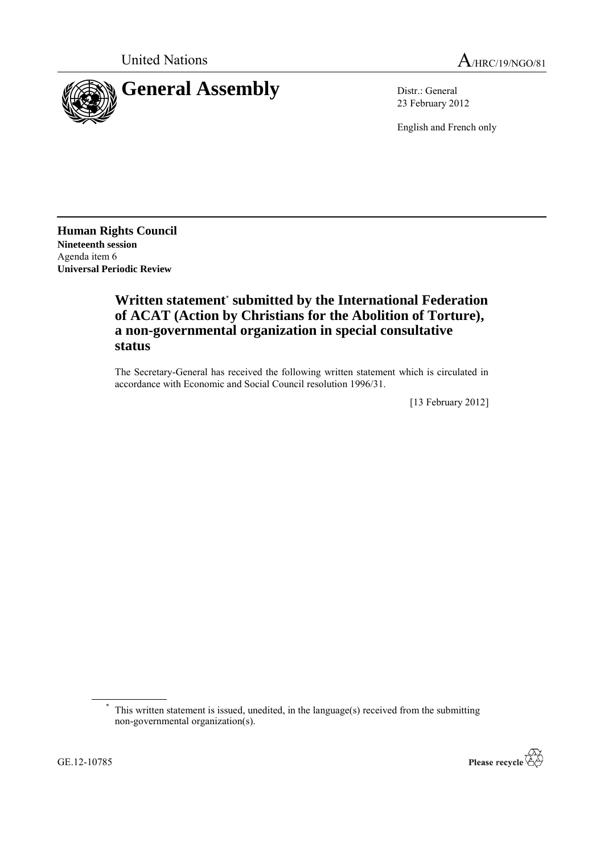

23 February 2012

English and French only

**Human Rights Council Nineteenth session** Agenda item 6 **Universal Periodic Review**

# **Written statement**\* **submitted by the International Federation of ACAT (Action by Christians for the Abolition of Torture), a non-governmental organization in special consultative status**

The Secretary-General has received the following written statement which is circulated in accordance with Economic and Social Council resolution 1996/31.

[13 February 2012]



This written statement is issued, unedited, in the language(s) received from the submitting non-governmental organization(s).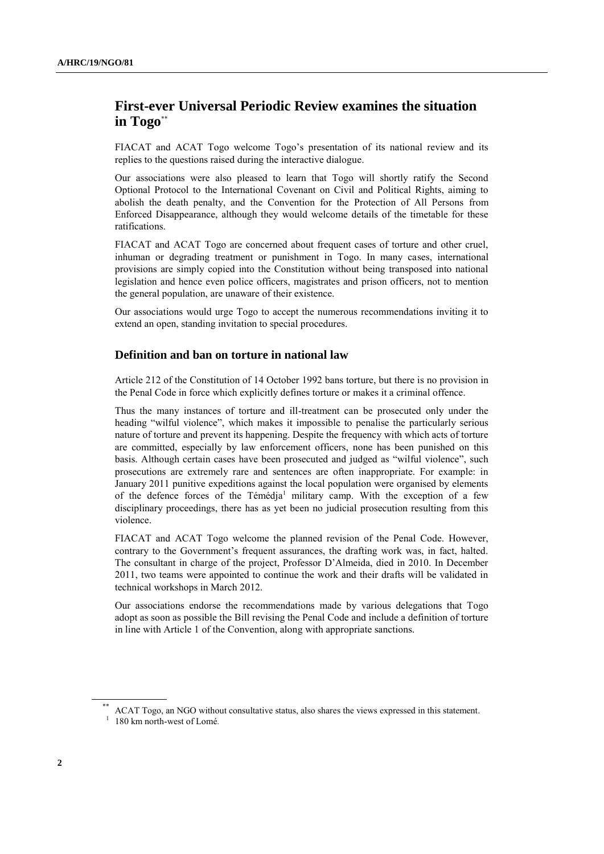## **First-ever Universal Periodic Review examines the situation in Togo**\*\*

FIACAT and ACAT Togo welcome Togo's presentation of its national review and its replies to the questions raised during the interactive dialogue.

Our associations were also pleased to learn that Togo will shortly ratify the Second Optional Protocol to the International Covenant on Civil and Political Rights, aiming to abolish the death penalty, and the Convention for the Protection of All Persons from Enforced Disappearance, although they would welcome details of the timetable for these ratifications.

FIACAT and ACAT Togo are concerned about frequent cases of torture and other cruel, inhuman or degrading treatment or punishment in Togo. In many cases, international provisions are simply copied into the Constitution without being transposed into national legislation and hence even police officers, magistrates and prison officers, not to mention the general population, are unaware of their existence.

Our associations would urge Togo to accept the numerous recommendations inviting it to extend an open, standing invitation to special procedures.

## **Definition and ban on torture in national law**

Article 212 of the Constitution of 14 October 1992 bans torture, but there is no provision in the Penal Code in force which explicitly defines torture or makes it a criminal offence.

Thus the many instances of torture and ill-treatment can be prosecuted only under the heading "wilful violence", which makes it impossible to penalise the particularly serious nature of torture and prevent its happening. Despite the frequency with which acts of torture are committed, especially by law enforcement officers, none has been punished on this basis. Although certain cases have been prosecuted and judged as "wilful violence", such prosecutions are extremely rare and sentences are often inappropriate. For example: in January 2011 punitive expeditions against the local population were organised by elements of the defence forces of the Témédja<sup>1</sup> military camp. With the exception of a few disciplinary proceedings, there has as yet been no judicial prosecution resulting from this violence.

FIACAT and ACAT Togo welcome the planned revision of the Penal Code. However, contrary to the Government's frequent assurances, the drafting work was, in fact, halted. The consultant in charge of the project, Professor D'Almeida, died in 2010. In December 2011, two teams were appointed to continue the work and their drafts will be validated in technical workshops in March 2012.

Our associations endorse the recommendations made by various delegations that Togo adopt as soon as possible the Bill revising the Penal Code and include a definition of torture in line with Article 1 of the Convention, along with appropriate sanctions.

ACAT Togo, an NGO without consultative status, also shares the views expressed in this statement.

<sup>&</sup>lt;sup>1</sup> 180 km north-west of Lomé.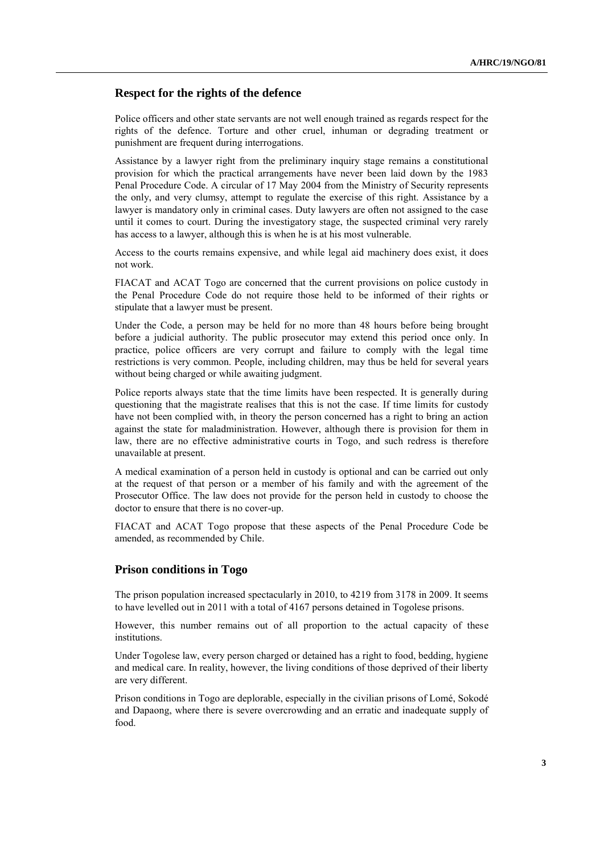## **Respect for the rights of the defence**

Police officers and other state servants are not well enough trained as regards respect for the rights of the defence. Torture and other cruel, inhuman or degrading treatment or punishment are frequent during interrogations.

Assistance by a lawyer right from the preliminary inquiry stage remains a constitutional provision for which the practical arrangements have never been laid down by the 1983 Penal Procedure Code. A circular of 17 May 2004 from the Ministry of Security represents the only, and very clumsy, attempt to regulate the exercise of this right. Assistance by a lawyer is mandatory only in criminal cases. Duty lawyers are often not assigned to the case until it comes to court. During the investigatory stage, the suspected criminal very rarely has access to a lawyer, although this is when he is at his most vulnerable.

Access to the courts remains expensive, and while legal aid machinery does exist, it does not work.

FIACAT and ACAT Togo are concerned that the current provisions on police custody in the Penal Procedure Code do not require those held to be informed of their rights or stipulate that a lawyer must be present.

Under the Code, a person may be held for no more than 48 hours before being brought before a judicial authority. The public prosecutor may extend this period once only. In practice, police officers are very corrupt and failure to comply with the legal time restrictions is very common. People, including children, may thus be held for several years without being charged or while awaiting judgment.

Police reports always state that the time limits have been respected. It is generally during questioning that the magistrate realises that this is not the case. If time limits for custody have not been complied with, in theory the person concerned has a right to bring an action against the state for maladministration. However, although there is provision for them in law, there are no effective administrative courts in Togo, and such redress is therefore unavailable at present.

A medical examination of a person held in custody is optional and can be carried out only at the request of that person or a member of his family and with the agreement of the Prosecutor Office. The law does not provide for the person held in custody to choose the doctor to ensure that there is no cover-up.

FIACAT and ACAT Togo propose that these aspects of the Penal Procedure Code be amended, as recommended by Chile.

### **Prison conditions in Togo**

The prison population increased spectacularly in 2010, to 4219 from 3178 in 2009. It seems to have levelled out in 2011 with a total of 4167 persons detained in Togolese prisons.

However, this number remains out of all proportion to the actual capacity of these institutions.

Under Togolese law, every person charged or detained has a right to food, bedding, hygiene and medical care. In reality, however, the living conditions of those deprived of their liberty are very different.

Prison conditions in Togo are deplorable, especially in the civilian prisons of Lomé, Sokodé and Dapaong, where there is severe overcrowding and an erratic and inadequate supply of food.